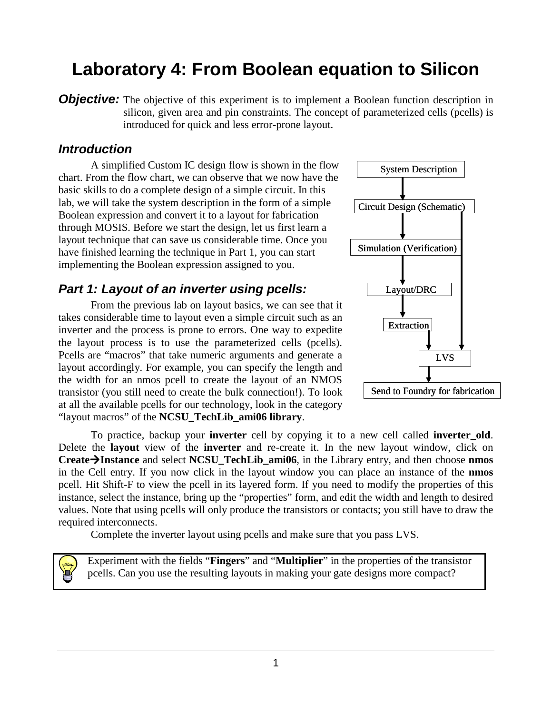# **Laboratory 4: From Boolean equation to Silicon**

**Objective:** The objective of this experiment is to implement a Boolean function description in silicon, given area and pin constraints. The concept of parameterized cells (pcells) is introduced for quick and less error-prone layout.

#### **Introduction**

A simplified Custom IC design flow is shown in the flow chart. From the flow chart, we can observe that we now have the basic skills to do a complete design of a simple circuit. In this lab, we will take the system description in the form of a simple Boolean expression and convert it to a layout for fabrication through MOSIS. Before we start the design, let us first learn a layout technique that can save us considerable time. Once you have finished learning the technique in Part 1, you can start implementing the Boolean expression assigned to you.

#### **Part 1: Layout of an inverter using pcells:**

From the previous lab on layout basics, we can see that it takes considerable time to layout even a simple circuit such as an inverter and the process is prone to errors. One way to expedite the layout process is to use the parameterized cells (pcells). Pcells are "macros" that take numeric arguments and generate a layout accordingly. For example, you can specify the length and the width for an nmos pcell to create the layout of an NMOS transistor (you still need to create the bulk connection!). To look at all the available pcells for our technology, look in the category "layout macros" of the **NCSU\_TechLib\_ami06 library**.



To practice, backup your **inverter** cell by copying it to a new cell called **inverter\_old**. Delete the **layout** view of the **inverter** and re-create it. In the new layout window, click on **CreateInstance** and select **NCSU\_TechLib\_ami06**, in the Library entry, and then choose **nmos** in the Cell entry. If you now click in the layout window you can place an instance of the **nmos** pcell. Hit Shift-F to view the pcell in its layered form. If you need to modify the properties of this instance, select the instance, bring up the "properties" form, and edit the width and length to desired values. Note that using pcells will only produce the transistors or contacts; you still have to draw the required interconnects.

Complete the inverter layout using pcells and make sure that you pass LVS.

Experiment with the fields "**Fingers**" and "**Multiplier**" in the properties of the transistor pcells. Can you use the resulting layouts in making your gate designs more compact?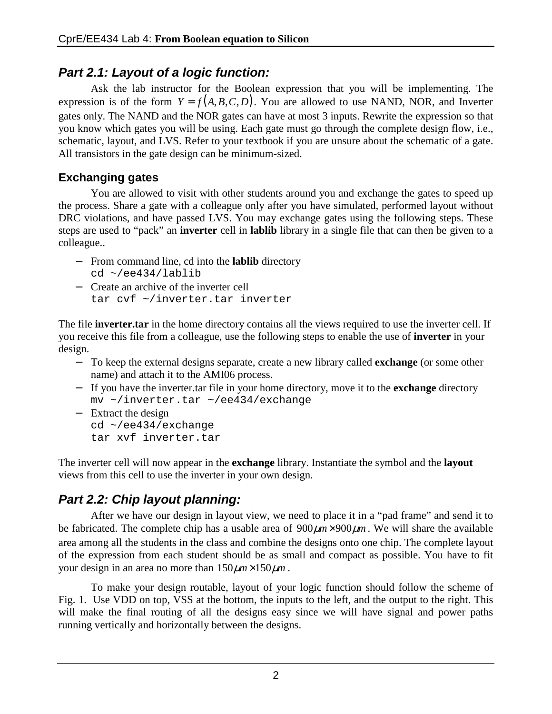### **Part 2.1: Layout of a logic function:**

Ask the lab instructor for the Boolean expression that you will be implementing. The expression is of the form  $Y = f(A, B, C, D)$ . You are allowed to use NAND, NOR, and Inverter gates only. The NAND and the NOR gates can have at most 3 inputs. Rewrite the expression so that you know which gates you will be using. Each gate must go through the complete design flow, i.e., schematic, layout, and LVS. Refer to your textbook if you are unsure about the schematic of a gate. All transistors in the gate design can be minimum-sized.

#### **Exchanging gates**

You are allowed to visit with other students around you and exchange the gates to speed up the process. Share a gate with a colleague only after you have simulated, performed layout without DRC violations, and have passed LVS. You may exchange gates using the following steps. These steps are used to "pack" an **inverter** cell in **lablib** library in a single file that can then be given to a colleague..

- − From command line, cd into the **lablib** directory  $cd \sim/ee434/lablib$
- − Create an archive of the inverter cell tar cvf ~/inverter.tar inverter

The file **inverter.tar** in the home directory contains all the views required to use the inverter cell. If you receive this file from a colleague, use the following steps to enable the use of **inverter** in your design.

- − To keep the external designs separate, create a new library called **exchange** (or some other name) and attach it to the AMI06 process.
- − If you have the inverter.tar file in your home directory, move it to the **exchange** directory mv ~/inverter.tar ~/ee434/exchange
- − Extract the design cd ~/ee434/exchange tar xvf inverter.tar

The inverter cell will now appear in the **exchange** library. Instantiate the symbol and the **layout** views from this cell to use the inverter in your own design.

# **Part 2.2: Chip layout planning:**

After we have our design in layout view, we need to place it in a "pad frame" and send it to be fabricated. The complete chip has a usable area of  $900 \mu m \times 900 \mu m$ . We will share the available area among all the students in the class and combine the designs onto one chip. The complete layout of the expression from each student should be as small and compact as possible. You have to fit your design in an area no more than  $150 \mu m \times 150 \mu m$ .

To make your design routable, layout of your logic function should follow the scheme of Fig. 1. Use VDD on top, VSS at the bottom, the inputs to the left, and the output to the right. This will make the final routing of all the designs easy since we will have signal and power paths running vertically and horizontally between the designs.